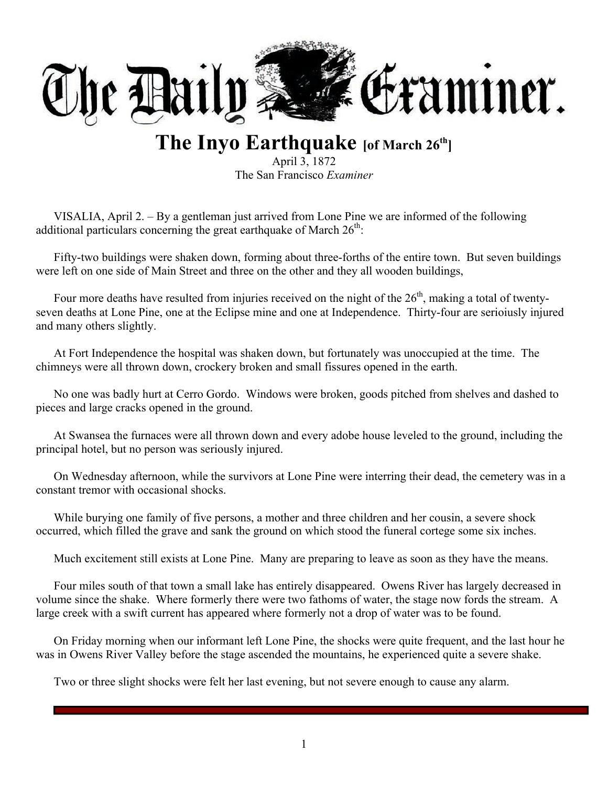

# **The Inyo Earthquake [of March 26th]**

April 3, 1872 The San Francisco *Examiner*

VISALIA, April 2. – By a gentleman just arrived from Lone Pine we are informed of the following additional particulars concerning the great earthquake of March  $26<sup>th</sup>$ :

Fifty-two buildings were shaken down, forming about three-forths of the entire town. But seven buildings were left on one side of Main Street and three on the other and they all wooden buildings,

Four more deaths have resulted from injuries received on the night of the  $26<sup>th</sup>$ , making a total of twentyseven deaths at Lone Pine, one at the Eclipse mine and one at Independence. Thirty-four are serioiusly injured and many others slightly.

At Fort Independence the hospital was shaken down, but fortunately was unoccupied at the time. The chimneys were all thrown down, crockery broken and small fissures opened in the earth.

No one was badly hurt at Cerro Gordo. Windows were broken, goods pitched from shelves and dashed to pieces and large cracks opened in the ground.

At Swansea the furnaces were all thrown down and every adobe house leveled to the ground, including the principal hotel, but no person was seriously injured.

On Wednesday afternoon, while the survivors at Lone Pine were interring their dead, the cemetery was in a constant tremor with occasional shocks.

While burying one family of five persons, a mother and three children and her cousin, a severe shock occurred, which filled the grave and sank the ground on which stood the funeral cortege some six inches.

Much excitement still exists at Lone Pine. Many are preparing to leave as soon as they have the means.

Four miles south of that town a small lake has entirely disappeared. Owens River has largely decreased in volume since the shake. Where formerly there were two fathoms of water, the stage now fords the stream. A large creek with a swift current has appeared where formerly not a drop of water was to be found.

On Friday morning when our informant left Lone Pine, the shocks were quite frequent, and the last hour he was in Owens River Valley before the stage ascended the mountains, he experienced quite a severe shake.

Two or three slight shocks were felt her last evening, but not severe enough to cause any alarm.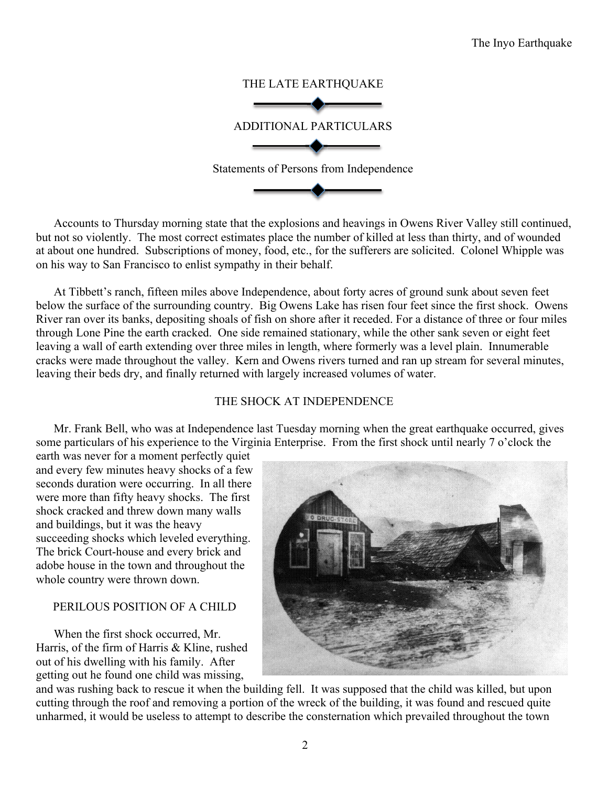

Accounts to Thursday morning state that the explosions and heavings in Owens River Valley still continued, but not so violently. The most correct estimates place the number of killed at less than thirty, and of wounded at about one hundred. Subscriptions of money, food, etc., for the sufferers are solicited. Colonel Whipple was on his way to San Francisco to enlist sympathy in their behalf.

At Tibbett's ranch, fifteen miles above Independence, about forty acres of ground sunk about seven feet below the surface of the surrounding country. Big Owens Lake has risen four feet since the first shock. Owens River ran over its banks, depositing shoals of fish on shore after it receded. For a distance of three or four miles through Lone Pine the earth cracked. One side remained stationary, while the other sank seven or eight feet leaving a wall of earth extending over three miles in length, where formerly was a level plain. Innumerable cracks were made throughout the valley. Kern and Owens rivers turned and ran up stream for several minutes, leaving their beds dry, and finally returned with largely increased volumes of water.

## THE SHOCK AT INDEPENDENCE

Mr. Frank Bell, who was at Independence last Tuesday morning when the great earthquake occurred, gives some particulars of his experience to the Virginia Enterprise. From the first shock until nearly 7 o'clock the

earth was never for a moment perfectly quiet and every few minutes heavy shocks of a few seconds duration were occurring. In all there were more than fifty heavy shocks. The first shock cracked and threw down many walls and buildings, but it was the heavy succeeding shocks which leveled everything. The brick Court-house and every brick and adobe house in the town and throughout the whole country were thrown down.

## PERILOUS POSITION OF A CHILD

When the first shock occurred, Mr. Harris, of the firm of Harris & Kline, rushed out of his dwelling with his family. After getting out he found one child was missing,



and was rushing back to rescue it when the building fell. It was supposed that the child was killed, but upon cutting through the roof and removing a portion of the wreck of the building, it was found and rescued quite unharmed, it would be useless to attempt to describe the consternation which prevailed throughout the town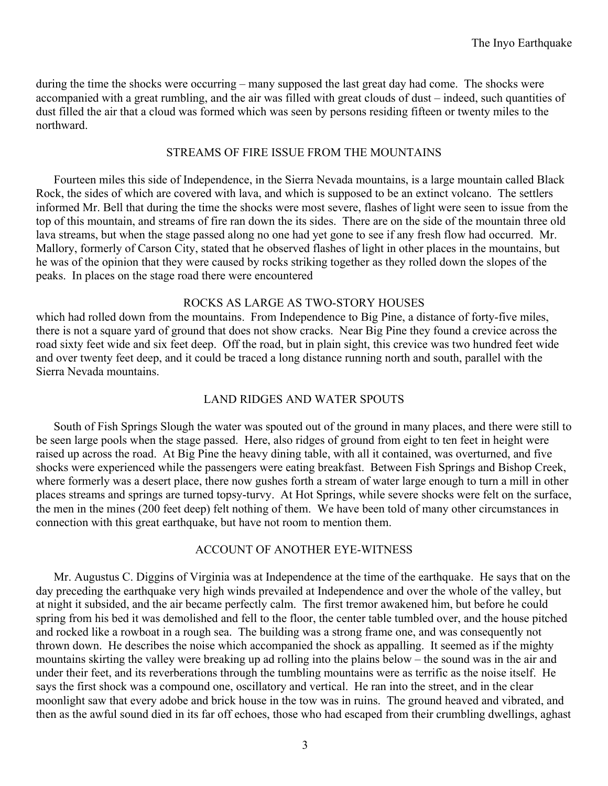during the time the shocks were occurring – many supposed the last great day had come. The shocks were accompanied with a great rumbling, and the air was filled with great clouds of dust – indeed, such quantities of dust filled the air that a cloud was formed which was seen by persons residing fifteen or twenty miles to the northward.

#### STREAMS OF FIRE ISSUE FROM THE MOUNTAINS

Fourteen miles this side of Independence, in the Sierra Nevada mountains, is a large mountain called Black Rock, the sides of which are covered with lava, and which is supposed to be an extinct volcano. The settlers informed Mr. Bell that during the time the shocks were most severe, flashes of light were seen to issue from the top of this mountain, and streams of fire ran down the its sides. There are on the side of the mountain three old lava streams, but when the stage passed along no one had yet gone to see if any fresh flow had occurred. Mr. Mallory, formerly of Carson City, stated that he observed flashes of light in other places in the mountains, but he was of the opinion that they were caused by rocks striking together as they rolled down the slopes of the peaks. In places on the stage road there were encountered

#### ROCKS AS LARGE AS TWO-STORY HOUSES

which had rolled down from the mountains. From Independence to Big Pine, a distance of forty-five miles, there is not a square yard of ground that does not show cracks. Near Big Pine they found a crevice across the road sixty feet wide and six feet deep. Off the road, but in plain sight, this crevice was two hundred feet wide and over twenty feet deep, and it could be traced a long distance running north and south, parallel with the Sierra Nevada mountains.

## LAND RIDGES AND WATER SPOUTS

South of Fish Springs Slough the water was spouted out of the ground in many places, and there were still to be seen large pools when the stage passed. Here, also ridges of ground from eight to ten feet in height were raised up across the road. At Big Pine the heavy dining table, with all it contained, was overturned, and five shocks were experienced while the passengers were eating breakfast. Between Fish Springs and Bishop Creek, where formerly was a desert place, there now gushes forth a stream of water large enough to turn a mill in other places streams and springs are turned topsy-turvy. At Hot Springs, while severe shocks were felt on the surface, the men in the mines (200 feet deep) felt nothing of them. We have been told of many other circumstances in connection with this great earthquake, but have not room to mention them.

## ACCOUNT OF ANOTHER EYE-WITNESS

Mr. Augustus C. Diggins of Virginia was at Independence at the time of the earthquake. He says that on the day preceding the earthquake very high winds prevailed at Independence and over the whole of the valley, but at night it subsided, and the air became perfectly calm. The first tremor awakened him, but before he could spring from his bed it was demolished and fell to the floor, the center table tumbled over, and the house pitched and rocked like a rowboat in a rough sea. The building was a strong frame one, and was consequently not thrown down. He describes the noise which accompanied the shock as appalling. It seemed as if the mighty mountains skirting the valley were breaking up ad rolling into the plains below – the sound was in the air and under their feet, and its reverberations through the tumbling mountains were as terrific as the noise itself. He says the first shock was a compound one, oscillatory and vertical. He ran into the street, and in the clear moonlight saw that every adobe and brick house in the tow was in ruins. The ground heaved and vibrated, and then as the awful sound died in its far off echoes, those who had escaped from their crumbling dwellings, aghast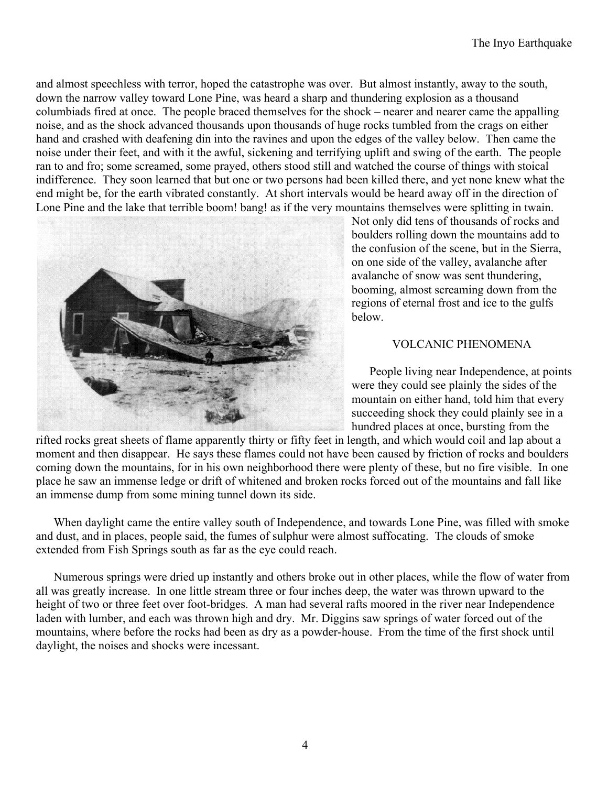and almost speechless with terror, hoped the catastrophe was over. But almost instantly, away to the south, down the narrow valley toward Lone Pine, was heard a sharp and thundering explosion as a thousand columbiads fired at once. The people braced themselves for the shock – nearer and nearer came the appalling noise, and as the shock advanced thousands upon thousands of huge rocks tumbled from the crags on either hand and crashed with deafening din into the ravines and upon the edges of the valley below. Then came the noise under their feet, and with it the awful, sickening and terrifying uplift and swing of the earth. The people ran to and fro; some screamed, some prayed, others stood still and watched the course of things with stoical indifference. They soon learned that but one or two persons had been killed there, and yet none knew what the end might be, for the earth vibrated constantly. At short intervals would be heard away off in the direction of Lone Pine and the lake that terrible boom! bang! as if the very mountains themselves were splitting in twain.



Not only did tens of thousands of rocks and boulders rolling down the mountains add to the confusion of the scene, but in the Sierra, on one side of the valley, avalanche after avalanche of snow was sent thundering, booming, almost screaming down from the regions of eternal frost and ice to the gulfs below.

## VOLCANIC PHENOMENA

People living near Independence, at points were they could see plainly the sides of the mountain on either hand, told him that every succeeding shock they could plainly see in a hundred places at once, bursting from the

rifted rocks great sheets of flame apparently thirty or fifty feet in length, and which would coil and lap about a moment and then disappear. He says these flames could not have been caused by friction of rocks and boulders coming down the mountains, for in his own neighborhood there were plenty of these, but no fire visible. In one place he saw an immense ledge or drift of whitened and broken rocks forced out of the mountains and fall like an immense dump from some mining tunnel down its side.

When daylight came the entire valley south of Independence, and towards Lone Pine, was filled with smoke and dust, and in places, people said, the fumes of sulphur were almost suffocating. The clouds of smoke extended from Fish Springs south as far as the eye could reach.

Numerous springs were dried up instantly and others broke out in other places, while the flow of water from all was greatly increase. In one little stream three or four inches deep, the water was thrown upward to the height of two or three feet over foot-bridges. A man had several rafts moored in the river near Independence laden with lumber, and each was thrown high and dry. Mr. Diggins saw springs of water forced out of the mountains, where before the rocks had been as dry as a powder-house. From the time of the first shock until daylight, the noises and shocks were incessant.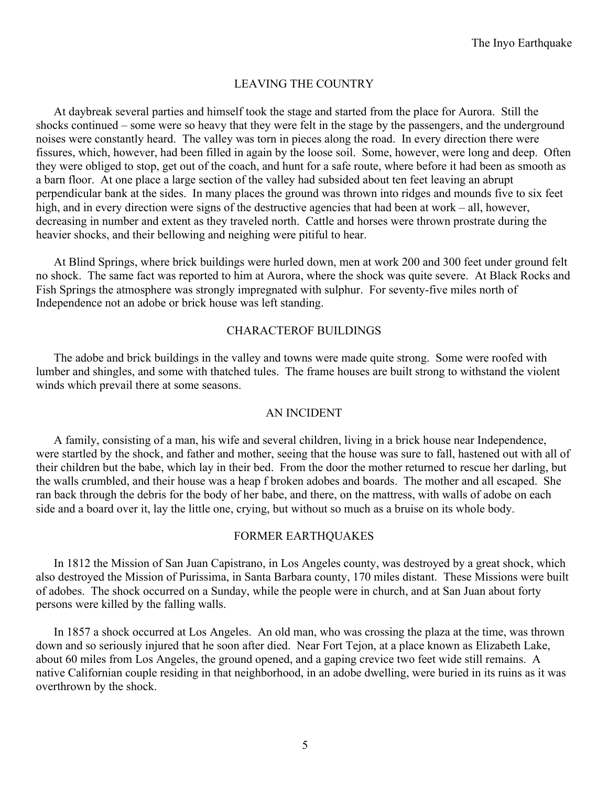## LEAVING THE COUNTRY

At daybreak several parties and himself took the stage and started from the place for Aurora. Still the shocks continued – some were so heavy that they were felt in the stage by the passengers, and the underground noises were constantly heard. The valley was torn in pieces along the road. In every direction there were fissures, which, however, had been filled in again by the loose soil. Some, however, were long and deep. Often they were obliged to stop, get out of the coach, and hunt for a safe route, where before it had been as smooth as a barn floor. At one place a large section of the valley had subsided about ten feet leaving an abrupt perpendicular bank at the sides. In many places the ground was thrown into ridges and mounds five to six feet high, and in every direction were signs of the destructive agencies that had been at work – all, however, decreasing in number and extent as they traveled north. Cattle and horses were thrown prostrate during the heavier shocks, and their bellowing and neighing were pitiful to hear.

At Blind Springs, where brick buildings were hurled down, men at work 200 and 300 feet under ground felt no shock. The same fact was reported to him at Aurora, where the shock was quite severe. At Black Rocks and Fish Springs the atmosphere was strongly impregnated with sulphur. For seventy-five miles north of Independence not an adobe or brick house was left standing.

#### CHARACTEROF BUILDINGS

The adobe and brick buildings in the valley and towns were made quite strong. Some were roofed with lumber and shingles, and some with thatched tules. The frame houses are built strong to withstand the violent winds which prevail there at some seasons.

#### AN INCIDENT

A family, consisting of a man, his wife and several children, living in a brick house near Independence, were startled by the shock, and father and mother, seeing that the house was sure to fall, hastened out with all of their children but the babe, which lay in their bed. From the door the mother returned to rescue her darling, but the walls crumbled, and their house was a heap f broken adobes and boards. The mother and all escaped. She ran back through the debris for the body of her babe, and there, on the mattress, with walls of adobe on each side and a board over it, lay the little one, crying, but without so much as a bruise on its whole body.

#### FORMER EARTHQUAKES

In 1812 the Mission of San Juan Capistrano, in Los Angeles county, was destroyed by a great shock, which also destroyed the Mission of Purissima, in Santa Barbara county, 170 miles distant. These Missions were built of adobes. The shock occurred on a Sunday, while the people were in church, and at San Juan about forty persons were killed by the falling walls.

In 1857 a shock occurred at Los Angeles. An old man, who was crossing the plaza at the time, was thrown down and so seriously injured that he soon after died. Near Fort Tejon, at a place known as Elizabeth Lake, about 60 miles from Los Angeles, the ground opened, and a gaping crevice two feet wide still remains. A native Californian couple residing in that neighborhood, in an adobe dwelling, were buried in its ruins as it was overthrown by the shock.